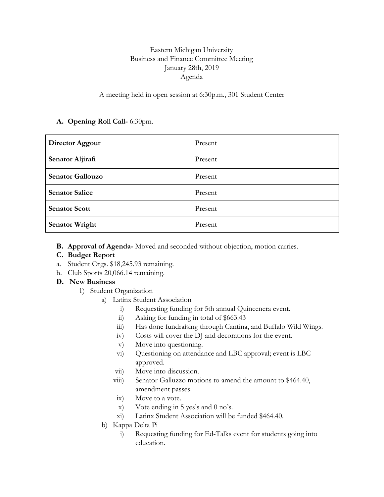# Eastern Michigan University Business and Finance Committee Meeting January 28th, 2019 Agenda

### A meeting held in open session at 6:30p.m., 301 Student Center

### **A. Opening Roll Call-** 6:30pm.

| Director Aggour         | Present |
|-------------------------|---------|
| Senator Aljirafi        | Present |
| <b>Senator Gallouzo</b> | Present |
| <b>Senator Salice</b>   | Present |
| <b>Senator Scott</b>    | Present |
| <b>Senator Wright</b>   | Present |

**B. Approval of Agenda-** Moved and seconded without objection, motion carries.

## **C. Budget Report**

- a. Student Orgs. \$18,245.93 remaining.
- b. Club Sports 20,066.14 remaining.

## **D. New Business**

- 1) Student Organization
	- a) Latinx Student Association
		- i) Requesting funding for 5th annual Quincenera event.
		- ii) Asking for funding in total of \$663.43
		- iii) Has done fundraising through Cantina, and Buffalo Wild Wings.
		- iv) Costs will cover the DJ and decorations for the event.
		- v) Move into questioning.
		- vi) Questioning on attendance and LBC approval; event is LBC approved.
		- vii) Move into discussion.
		- viii) Senator Galluzzo motions to amend the amount to \$464.40, amendment passes.
		- ix) Move to a vote.
		- x) Vote ending in 5 yes's and 0 no's.
		- xi) Latinx Student Association will be funded \$464.40.
	- b) Kappa Delta Pi
		- i) Requesting funding for Ed-Talks event for students going into education.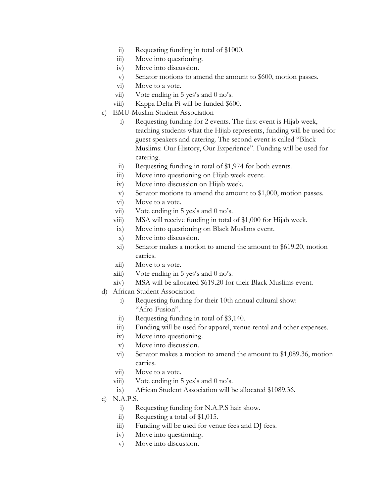- ii) Requesting funding in total of \$1000.
- iii) Move into questioning.
- iv) Move into discussion.
- v) Senator motions to amend the amount to \$600, motion passes.
- vi) Move to a vote.
- vii) Vote ending in 5 yes's and 0 no's.
- viii) Kappa Delta Pi will be funded \$600.
- c) EMU-Muslim Student Association
	- i) Requesting funding for 2 events. The first event is Hijab week, teaching students what the Hijab represents, funding will be used for guest speakers and catering. The second event is called "Black Muslims: Our History, Our Experience". Funding will be used for catering.
	- ii) Requesting funding in total of \$1,974 for both events.
	- iii) Move into questioning on Hijab week event.
	- iv) Move into discussion on Hijab week.
	- v) Senator motions to amend the amount to \$1,000, motion passes.
	- vi) Move to a vote.
	- vii) Vote ending in 5 yes's and 0 no's.
	- viii) MSA will receive funding in total of \$1,000 for Hijab week.
	- ix) Move into questioning on Black Muslims event.
	- x) Move into discussion.
	- xi) Senator makes a motion to amend the amount to \$619.20, motion carries.
	- xii) Move to a vote.
	- $xiii)$  Vote ending in 5 yes's and 0 no's.
	- xiv) MSA will be allocated \$619.20 for their Black Muslims event.
- d) African Student Association
	- i) Requesting funding for their 10th annual cultural show: "Afro-Fusion".
	- ii) Requesting funding in total of \$3,140.
	- iii) Funding will be used for apparel, venue rental and other expenses.
	- iv) Move into questioning.
	- v) Move into discussion.
	- vi) Senator makes a motion to amend the amount to \$1,089.36, motion carries.
	- vii) Move to a vote.
	- viii) Vote ending in  $5$  yes's and  $0$  no's.
	- ix) African Student Association will be allocated \$1089.36.
- e) N.A.P.S.
	- i) Requesting funding for N.A.P.S hair show.
	- ii) Requesting a total of \$1,015.
	- iii) Funding will be used for venue fees and DJ fees.
	- iv) Move into questioning.
	- v) Move into discussion.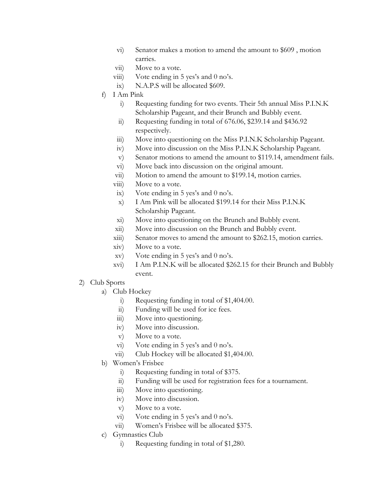- vi) Senator makes a motion to amend the amount to \$609 , motion carries.
- vii) Move to a vote.
- viii) Vote ending in  $5$  yes's and  $0$  no's.
- ix) N.A.P.S will be allocated \$609.
- f) I Am Pink
	- i) Requesting funding for two events. Their 5th annual Miss P.I.N.K Scholarship Pageant, and their Brunch and Bubbly event.
	- ii) Requesting funding in total of 676.06, \$239.14 and \$436.92 respectively.
	- iii) Move into questioning on the Miss P.I.N.K Scholarship Pageant.
	- iv) Move into discussion on the Miss P.I.N.K Scholarship Pageant.
	- v) Senator motions to amend the amount to \$119.14, amendment fails.
	- vi) Move back into discussion on the original amount.
	- vii) Motion to amend the amount to \$199.14, motion carries.
	- viii) Move to a vote.
	- ix) Vote ending in 5 yes's and 0 no's.
	- x) I Am Pink will be allocated \$199.14 for their Miss P.I.N.K Scholarship Pageant.
	- xi) Move into questioning on the Brunch and Bubbly event.
	- xii) Move into discussion on the Brunch and Bubbly event.
	- xiii) Senator moves to amend the amount to \$262.15, motion carries.
	- xiv) Move to a vote.
	- xv) Vote ending in 5 yes's and 0 no's.
	- xvi) I Am P.I.N.K will be allocated \$262.15 for their Brunch and Bubbly event.
- 2) Club Sports
	- a) Club Hockey
		- i) Requesting funding in total of \$1,404.00.
		- ii) Funding will be used for ice fees.
		- iii) Move into questioning.
		- iv) Move into discussion.
		- v) Move to a vote.
		- vi) Vote ending in 5 yes's and 0 no's.
		- vii) Club Hockey will be allocated \$1,404.00.
	- b) Women's Frisbee
		- i) Requesting funding in total of \$375.
		- ii) Funding will be used for registration fees for a tournament.
		- iii) Move into questioning.
		- iv) Move into discussion.
		- v) Move to a vote.
		- vi) Vote ending in 5 yes's and 0 no's.
		- vii) Women's Frisbee will be allocated \$375.
	- c) Gymnastics Club
		- i) Requesting funding in total of \$1,280.